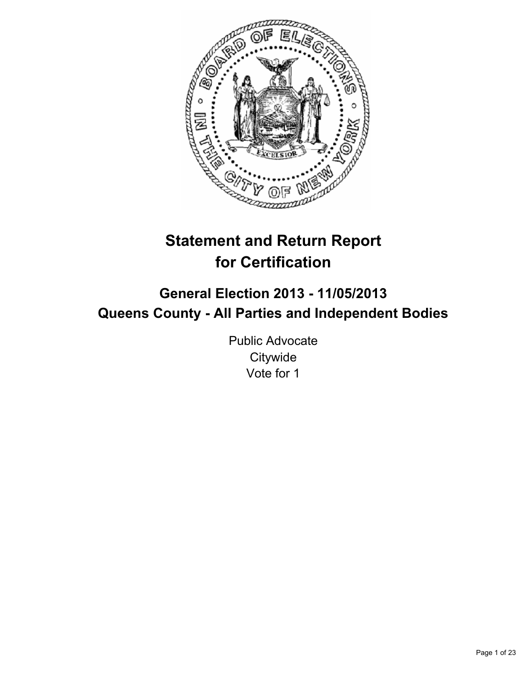

# **Statement and Return Report for Certification**

## **General Election 2013 - 11/05/2013 Queens County - All Parties and Independent Bodies**

Public Advocate **Citywide** Vote for 1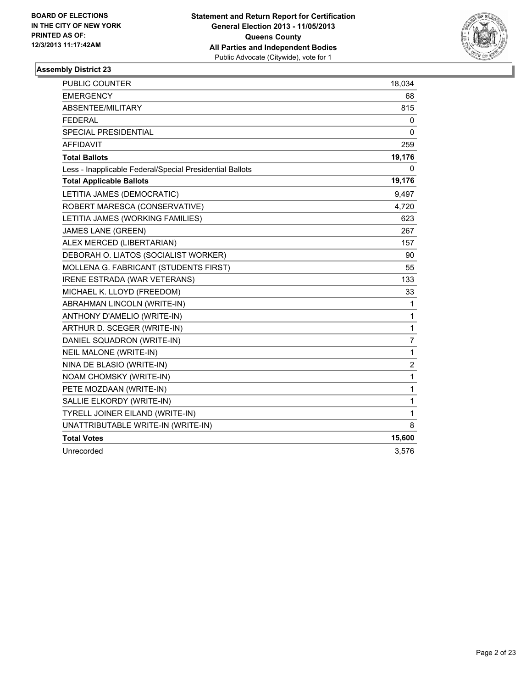

| <b>PUBLIC COUNTER</b>                                    | 18,034                  |
|----------------------------------------------------------|-------------------------|
| <b>EMERGENCY</b>                                         | 68                      |
| ABSENTEE/MILITARY                                        | 815                     |
| <b>FEDERAL</b>                                           | 0                       |
| <b>SPECIAL PRESIDENTIAL</b>                              | 0                       |
| <b>AFFIDAVIT</b>                                         | 259                     |
| <b>Total Ballots</b>                                     | 19,176                  |
| Less - Inapplicable Federal/Special Presidential Ballots | 0                       |
| <b>Total Applicable Ballots</b>                          | 19,176                  |
| LETITIA JAMES (DEMOCRATIC)                               | 9,497                   |
| ROBERT MARESCA (CONSERVATIVE)                            | 4,720                   |
| LETITIA JAMES (WORKING FAMILIES)                         | 623                     |
| <b>JAMES LANE (GREEN)</b>                                | 267                     |
| ALEX MERCED (LIBERTARIAN)                                | 157                     |
| DEBORAH O. LIATOS (SOCIALIST WORKER)                     | 90                      |
| MOLLENA G. FABRICANT (STUDENTS FIRST)                    | 55                      |
| IRENE ESTRADA (WAR VETERANS)                             | 133                     |
| MICHAEL K. LLOYD (FREEDOM)                               | 33                      |
| ABRAHMAN LINCOLN (WRITE-IN)                              | 1                       |
| ANTHONY D'AMELIO (WRITE-IN)                              | 1                       |
| ARTHUR D. SCEGER (WRITE-IN)                              | 1                       |
| DANIEL SQUADRON (WRITE-IN)                               | $\overline{7}$          |
| NEIL MALONE (WRITE-IN)                                   | 1                       |
| NINA DE BLASIO (WRITE-IN)                                | $\overline{\mathbf{c}}$ |
| NOAM CHOMSKY (WRITE-IN)                                  | 1                       |
| PETE MOZDAAN (WRITE-IN)                                  | 1                       |
| SALLIE ELKORDY (WRITE-IN)                                | 1                       |
| TYRELL JOINER EILAND (WRITE-IN)                          | $\mathbf{1}$            |
| UNATTRIBUTABLE WRITE-IN (WRITE-IN)                       | 8                       |
| <b>Total Votes</b>                                       | 15,600                  |
| Unrecorded                                               | 3,576                   |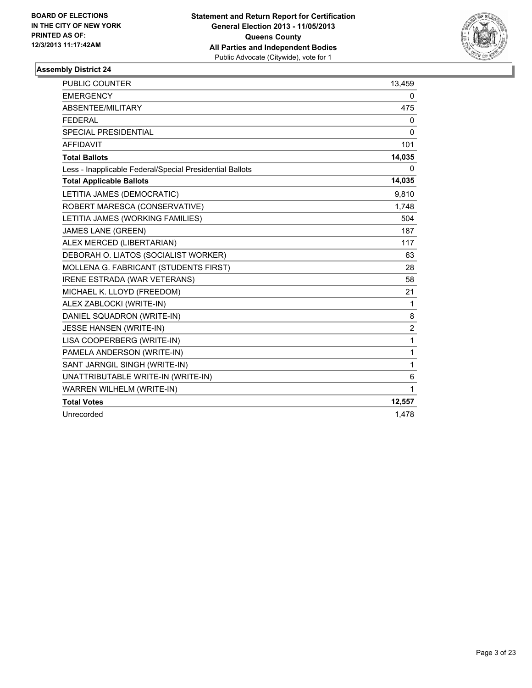

| <b>PUBLIC COUNTER</b>                                    | 13,459         |
|----------------------------------------------------------|----------------|
| <b>EMERGENCY</b>                                         | 0              |
| ABSENTEE/MILITARY                                        | 475            |
| <b>FEDERAL</b>                                           | 0              |
| <b>SPECIAL PRESIDENTIAL</b>                              | $\mathbf{0}$   |
| <b>AFFIDAVIT</b>                                         | 101            |
| <b>Total Ballots</b>                                     | 14,035         |
| Less - Inapplicable Federal/Special Presidential Ballots | 0              |
| <b>Total Applicable Ballots</b>                          | 14,035         |
| LETITIA JAMES (DEMOCRATIC)                               | 9,810          |
| ROBERT MARESCA (CONSERVATIVE)                            | 1,748          |
| LETITIA JAMES (WORKING FAMILIES)                         | 504            |
| <b>JAMES LANE (GREEN)</b>                                | 187            |
| ALEX MERCED (LIBERTARIAN)                                | 117            |
| DEBORAH O. LIATOS (SOCIALIST WORKER)                     | 63             |
| MOLLENA G. FABRICANT (STUDENTS FIRST)                    | 28             |
| <b>IRENE ESTRADA (WAR VETERANS)</b>                      | 58             |
| MICHAEL K. LLOYD (FREEDOM)                               | 21             |
| ALEX ZABLOCKI (WRITE-IN)                                 | 1              |
| DANIEL SQUADRON (WRITE-IN)                               | 8              |
| JESSE HANSEN (WRITE-IN)                                  | $\overline{2}$ |
| LISA COOPERBERG (WRITE-IN)                               | 1              |
| PAMELA ANDERSON (WRITE-IN)                               | 1              |
| SANT JARNGIL SINGH (WRITE-IN)                            | $\mathbf{1}$   |
| UNATTRIBUTABLE WRITE-IN (WRITE-IN)                       | 6              |
| <b>WARREN WILHELM (WRITE-IN)</b>                         | 1              |
| <b>Total Votes</b>                                       | 12,557         |
| Unrecorded                                               | 1,478          |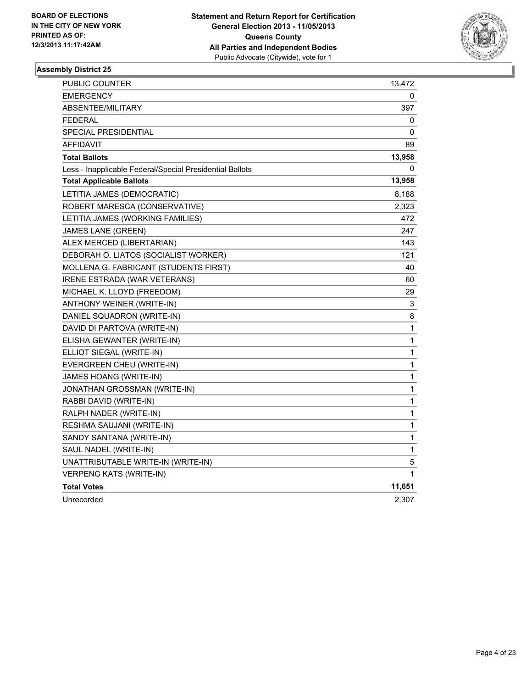

| PUBLIC COUNTER                                           | 13,472       |
|----------------------------------------------------------|--------------|
| <b>EMERGENCY</b>                                         | 0            |
| <b>ABSENTEE/MILITARY</b>                                 | 397          |
| <b>FEDERAL</b>                                           | 0            |
| SPECIAL PRESIDENTIAL                                     | 0            |
| <b>AFFIDAVIT</b>                                         | 89           |
| <b>Total Ballots</b>                                     | 13,958       |
| Less - Inapplicable Federal/Special Presidential Ballots | 0            |
| <b>Total Applicable Ballots</b>                          | 13,958       |
| LETITIA JAMES (DEMOCRATIC)                               | 8,188        |
| ROBERT MARESCA (CONSERVATIVE)                            | 2,323        |
| LETITIA JAMES (WORKING FAMILIES)                         | 472          |
| JAMES LANE (GREEN)                                       | 247          |
| ALEX MERCED (LIBERTARIAN)                                | 143          |
| DEBORAH O. LIATOS (SOCIALIST WORKER)                     | 121          |
| MOLLENA G. FABRICANT (STUDENTS FIRST)                    | 40           |
| IRENE ESTRADA (WAR VETERANS)                             | 60           |
| MICHAEL K. LLOYD (FREEDOM)                               | 29           |
| ANTHONY WEINER (WRITE-IN)                                | 3            |
| DANIEL SQUADRON (WRITE-IN)                               | 8            |
| DAVID DI PARTOVA (WRITE-IN)                              | 1            |
| ELISHA GEWANTER (WRITE-IN)                               | 1            |
| ELLIOT SIEGAL (WRITE-IN)                                 | $\mathbf{1}$ |
| EVERGREEN CHEU (WRITE-IN)                                | 1            |
| JAMES HOANG (WRITE-IN)                                   | 1            |
| JONATHAN GROSSMAN (WRITE-IN)                             | 1            |
| RABBI DAVID (WRITE-IN)                                   | 1            |
| RALPH NADER (WRITE-IN)                                   | 1            |
| RESHMA SAUJANI (WRITE-IN)                                | 1            |
| SANDY SANTANA (WRITE-IN)                                 | 1            |
| SAUL NADEL (WRITE-IN)                                    | 1            |
| UNATTRIBUTABLE WRITE-IN (WRITE-IN)                       | 5            |
| <b>VERPENG KATS (WRITE-IN)</b>                           | 1            |
| <b>Total Votes</b>                                       | 11,651       |
| Unrecorded                                               | 2,307        |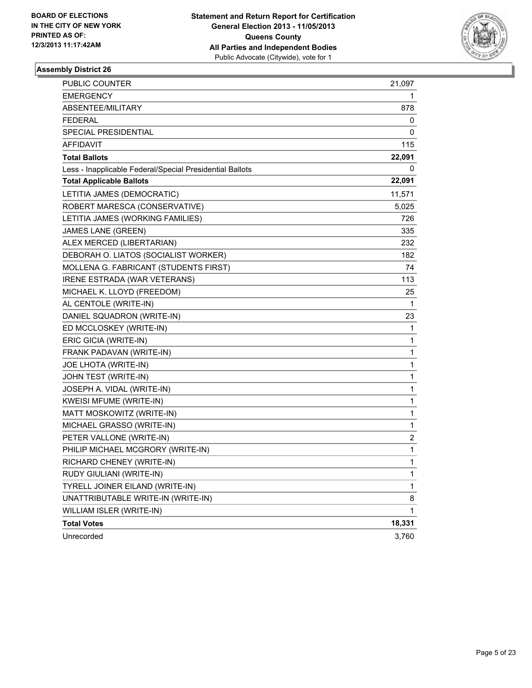

| <b>PUBLIC COUNTER</b>                                    | 21,097       |
|----------------------------------------------------------|--------------|
| <b>EMERGENCY</b>                                         | 1            |
| ABSENTEE/MILITARY                                        | 878          |
| FEDERAL                                                  | 0            |
| SPECIAL PRESIDENTIAL                                     | 0            |
| <b>AFFIDAVIT</b>                                         | 115          |
| <b>Total Ballots</b>                                     | 22,091       |
| Less - Inapplicable Federal/Special Presidential Ballots | 0            |
| <b>Total Applicable Ballots</b>                          | 22,091       |
| LETITIA JAMES (DEMOCRATIC)                               | 11,571       |
| ROBERT MARESCA (CONSERVATIVE)                            | 5,025        |
| LETITIA JAMES (WORKING FAMILIES)                         | 726          |
| <b>JAMES LANE (GREEN)</b>                                | 335          |
| ALEX MERCED (LIBERTARIAN)                                | 232          |
| DEBORAH O. LIATOS (SOCIALIST WORKER)                     | 182          |
| MOLLENA G. FABRICANT (STUDENTS FIRST)                    | 74           |
| IRENE ESTRADA (WAR VETERANS)                             | 113          |
| MICHAEL K. LLOYD (FREEDOM)                               | 25           |
| AL CENTOLE (WRITE-IN)                                    | 1            |
| DANIEL SQUADRON (WRITE-IN)                               | 23           |
| ED MCCLOSKEY (WRITE-IN)                                  | 1            |
| ERIC GICIA (WRITE-IN)                                    | 1            |
| FRANK PADAVAN (WRITE-IN)                                 | 1            |
| JOE LHOTA (WRITE-IN)                                     | 1            |
| JOHN TEST (WRITE-IN)                                     | 1            |
| JOSEPH A. VIDAL (WRITE-IN)                               | 1            |
| KWEISI MFUME (WRITE-IN)                                  | 1            |
| MATT MOSKOWITZ (WRITE-IN)                                | 1            |
| MICHAEL GRASSO (WRITE-IN)                                | 1            |
| PETER VALLONE (WRITE-IN)                                 | 2            |
| PHILIP MICHAEL MCGRORY (WRITE-IN)                        | 1            |
| RICHARD CHENEY (WRITE-IN)                                | 1            |
| RUDY GIULIANI (WRITE-IN)                                 | 1            |
| TYRELL JOINER EILAND (WRITE-IN)                          | 1            |
| UNATTRIBUTABLE WRITE-IN (WRITE-IN)                       | 8            |
| WILLIAM ISLER (WRITE-IN)                                 | $\mathbf{1}$ |
| <b>Total Votes</b>                                       | 18,331       |
| Unrecorded                                               | 3,760        |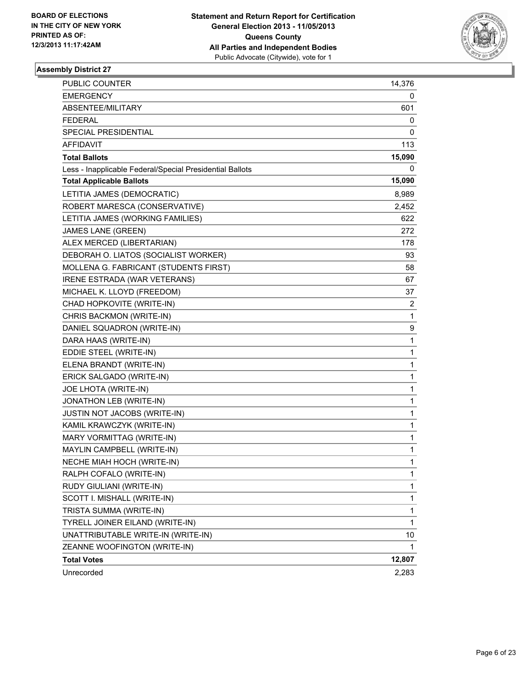

| <b>PUBLIC COUNTER</b>                                    | 14,376         |
|----------------------------------------------------------|----------------|
| <b>EMERGENCY</b>                                         | 0              |
| ABSENTEE/MILITARY                                        | 601            |
| <b>FEDERAL</b>                                           | 0              |
| <b>SPECIAL PRESIDENTIAL</b>                              | 0              |
| <b>AFFIDAVIT</b>                                         | 113            |
| <b>Total Ballots</b>                                     | 15,090         |
| Less - Inapplicable Federal/Special Presidential Ballots | 0              |
| <b>Total Applicable Ballots</b>                          | 15,090         |
| LETITIA JAMES (DEMOCRATIC)                               | 8,989          |
| ROBERT MARESCA (CONSERVATIVE)                            | 2,452          |
| LETITIA JAMES (WORKING FAMILIES)                         | 622            |
| JAMES LANE (GREEN)                                       | 272            |
| ALEX MERCED (LIBERTARIAN)                                | 178            |
| DEBORAH O. LIATOS (SOCIALIST WORKER)                     | 93             |
| MOLLENA G. FABRICANT (STUDENTS FIRST)                    | 58             |
| IRENE ESTRADA (WAR VETERANS)                             | 67             |
| MICHAEL K. LLOYD (FREEDOM)                               | 37             |
| CHAD HOPKOVITE (WRITE-IN)                                | $\overline{2}$ |
| CHRIS BACKMON (WRITE-IN)                                 | 1              |
| DANIEL SQUADRON (WRITE-IN)                               | 9              |
| DARA HAAS (WRITE-IN)                                     | $\mathbf 1$    |
| EDDIE STEEL (WRITE-IN)                                   | 1              |
| ELENA BRANDT (WRITE-IN)                                  | 1              |
| ERICK SALGADO (WRITE-IN)                                 | 1              |
| JOE LHOTA (WRITE-IN)                                     | 1              |
| JONATHON LEB (WRITE-IN)                                  | 1              |
| <b>JUSTIN NOT JACOBS (WRITE-IN)</b>                      | $\mathbf 1$    |
| KAMIL KRAWCZYK (WRITE-IN)                                | 1              |
| MARY VORMITTAG (WRITE-IN)                                | 1              |
| MAYLIN CAMPBELL (WRITE-IN)                               | $\mathbf{1}$   |
| NECHE MIAH HOCH (WRITE-IN)                               | $\mathbf{1}$   |
| RALPH COFALO (WRITE-IN)                                  | 1              |
| RUDY GIULIANI (WRITE-IN)                                 | 1              |
| SCOTT I. MISHALL (WRITE-IN)                              | 1              |
| TRISTA SUMMA (WRITE-IN)                                  | 1              |
| TYRELL JOINER EILAND (WRITE-IN)                          | 1              |
| UNATTRIBUTABLE WRITE-IN (WRITE-IN)                       | 10             |
| ZEANNE WOOFINGTON (WRITE-IN)                             | 1              |
| <b>Total Votes</b>                                       | 12,807         |
| Unrecorded                                               | 2,283          |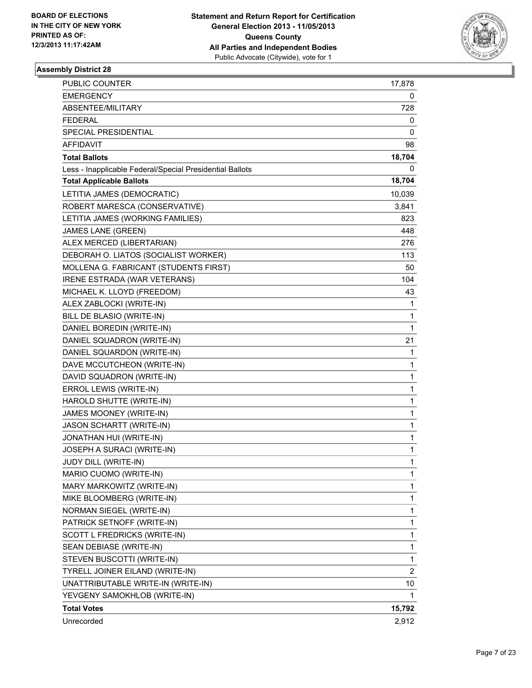

| <b>PUBLIC COUNTER</b>                                    | 17,878         |
|----------------------------------------------------------|----------------|
| <b>EMERGENCY</b>                                         | 0              |
| ABSENTEE/MILITARY                                        | 728            |
| <b>FEDERAL</b>                                           | 0              |
| SPECIAL PRESIDENTIAL                                     | 0              |
| <b>AFFIDAVIT</b>                                         | 98             |
| <b>Total Ballots</b>                                     | 18,704         |
| Less - Inapplicable Federal/Special Presidential Ballots | 0              |
| <b>Total Applicable Ballots</b>                          | 18,704         |
| LETITIA JAMES (DEMOCRATIC)                               | 10,039         |
| ROBERT MARESCA (CONSERVATIVE)                            | 3,841          |
| LETITIA JAMES (WORKING FAMILIES)                         | 823            |
| <b>JAMES LANE (GREEN)</b>                                | 448            |
| ALEX MERCED (LIBERTARIAN)                                | 276            |
| DEBORAH O. LIATOS (SOCIALIST WORKER)                     | 113            |
| MOLLENA G. FABRICANT (STUDENTS FIRST)                    | 50             |
| IRENE ESTRADA (WAR VETERANS)                             | 104            |
| MICHAEL K. LLOYD (FREEDOM)                               | 43             |
| ALEX ZABLOCKI (WRITE-IN)                                 | 1              |
| BILL DE BLASIO (WRITE-IN)                                | 1              |
| DANIEL BOREDIN (WRITE-IN)                                | $\mathbf{1}$   |
| DANIEL SQUADRON (WRITE-IN)                               | 21             |
| DANIEL SQUARDON (WRITE-IN)                               | 1              |
| DAVE MCCUTCHEON (WRITE-IN)                               | 1              |
| DAVID SQUADRON (WRITE-IN)                                | 1              |
| ERROL LEWIS (WRITE-IN)                                   | $\mathbf{1}$   |
| HAROLD SHUTTE (WRITE-IN)                                 | $\mathbf{1}$   |
| JAMES MOONEY (WRITE-IN)                                  | 1              |
| <b>JASON SCHARTT (WRITE-IN)</b>                          | 1              |
| JONATHAN HUI (WRITE-IN)                                  | 1              |
| JOSEPH A SURACI (WRITE-IN)                               | 1              |
| JUDY DILL (WRITE-IN)                                     | 1              |
| MARIO CUOMO (WRITE-IN)                                   | 1              |
| MARY MARKOWITZ (WRITE-IN)                                | 1              |
| MIKE BLOOMBERG (WRITE-IN)                                | $\mathbf{1}$   |
| NORMAN SIEGEL (WRITE-IN)                                 | $\mathbf 1$    |
| PATRICK SETNOFF (WRITE-IN)                               | 1              |
| SCOTT L FREDRICKS (WRITE-IN)                             | $\mathbf{1}$   |
| SEAN DEBIASE (WRITE-IN)                                  | 1              |
| STEVEN BUSCOTTI (WRITE-IN)                               | 1              |
| TYRELL JOINER EILAND (WRITE-IN)                          | $\overline{2}$ |
| UNATTRIBUTABLE WRITE-IN (WRITE-IN)                       | 10             |
| YEVGENY SAMOKHLOB (WRITE-IN)                             | 1              |
| <b>Total Votes</b>                                       | 15,792         |
| Unrecorded                                               | 2,912          |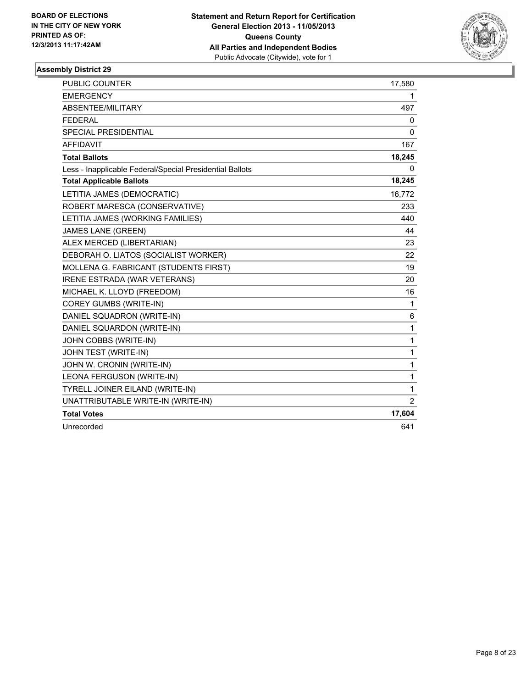

| <b>PUBLIC COUNTER</b>                                    | 17,580         |
|----------------------------------------------------------|----------------|
| <b>EMERGENCY</b>                                         | 1              |
| ABSENTEE/MILITARY                                        | 497            |
| <b>FEDERAL</b>                                           | 0              |
| <b>SPECIAL PRESIDENTIAL</b>                              | 0              |
| <b>AFFIDAVIT</b>                                         | 167            |
| <b>Total Ballots</b>                                     | 18,245         |
| Less - Inapplicable Federal/Special Presidential Ballots | 0              |
| <b>Total Applicable Ballots</b>                          | 18,245         |
| LETITIA JAMES (DEMOCRATIC)                               | 16,772         |
| ROBERT MARESCA (CONSERVATIVE)                            | 233            |
| LETITIA JAMES (WORKING FAMILIES)                         | 440            |
| <b>JAMES LANE (GREEN)</b>                                | 44             |
| ALEX MERCED (LIBERTARIAN)                                | 23             |
| DEBORAH O. LIATOS (SOCIALIST WORKER)                     | 22             |
| MOLLENA G. FABRICANT (STUDENTS FIRST)                    | 19             |
| IRENE ESTRADA (WAR VETERANS)                             | 20             |
| MICHAEL K. LLOYD (FREEDOM)                               | 16             |
| COREY GUMBS (WRITE-IN)                                   | 1              |
| DANIEL SQUADRON (WRITE-IN)                               | 6              |
| DANIEL SQUARDON (WRITE-IN)                               | 1              |
| JOHN COBBS (WRITE-IN)                                    | $\mathbf{1}$   |
| JOHN TEST (WRITE-IN)                                     | $\mathbf 1$    |
| JOHN W. CRONIN (WRITE-IN)                                | 1              |
| LEONA FERGUSON (WRITE-IN)                                | $\mathbf{1}$   |
| TYRELL JOINER EILAND (WRITE-IN)                          | $\mathbf{1}$   |
| UNATTRIBUTABLE WRITE-IN (WRITE-IN)                       | $\overline{2}$ |
| <b>Total Votes</b>                                       | 17,604         |
| Unrecorded                                               | 641            |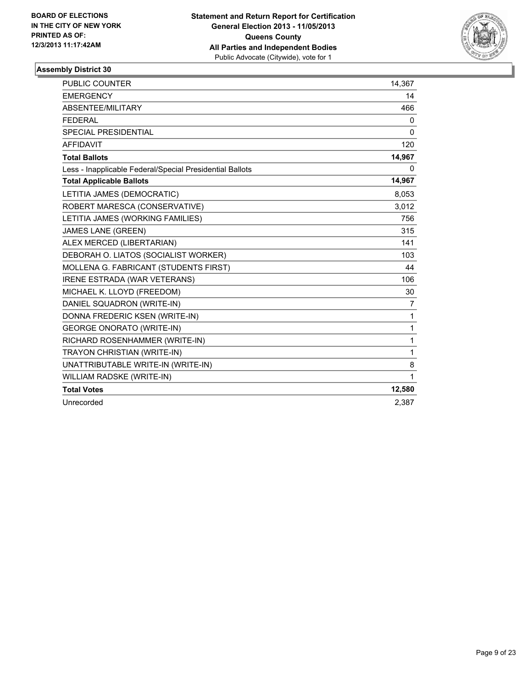

| PUBLIC COUNTER                                           | 14,367       |
|----------------------------------------------------------|--------------|
| <b>EMERGENCY</b>                                         | 14           |
| ABSENTEE/MILITARY                                        | 466          |
| <b>FEDERAL</b>                                           | 0            |
| SPECIAL PRESIDENTIAL                                     | $\mathbf{0}$ |
| <b>AFFIDAVIT</b>                                         | 120          |
| <b>Total Ballots</b>                                     | 14,967       |
| Less - Inapplicable Federal/Special Presidential Ballots | 0            |
| <b>Total Applicable Ballots</b>                          | 14,967       |
| LETITIA JAMES (DEMOCRATIC)                               | 8,053        |
| ROBERT MARESCA (CONSERVATIVE)                            | 3,012        |
| LETITIA JAMES (WORKING FAMILIES)                         | 756          |
| <b>JAMES LANE (GREEN)</b>                                | 315          |
| ALEX MERCED (LIBERTARIAN)                                | 141          |
| DEBORAH O. LIATOS (SOCIALIST WORKER)                     | 103          |
| MOLLENA G. FABRICANT (STUDENTS FIRST)                    | 44           |
| <b>IRENE ESTRADA (WAR VETERANS)</b>                      | 106          |
| MICHAEL K. LLOYD (FREEDOM)                               | 30           |
| DANIEL SQUADRON (WRITE-IN)                               | 7            |
| DONNA FREDERIC KSEN (WRITE-IN)                           | 1            |
| <b>GEORGE ONORATO (WRITE-IN)</b>                         | 1            |
| RICHARD ROSENHAMMER (WRITE-IN)                           | $\mathbf{1}$ |
| TRAYON CHRISTIAN (WRITE-IN)                              | 1            |
| UNATTRIBUTABLE WRITE-IN (WRITE-IN)                       | 8            |
| WILLIAM RADSKE (WRITE-IN)                                | 1            |
| <b>Total Votes</b>                                       | 12,580       |
| Unrecorded                                               | 2.387        |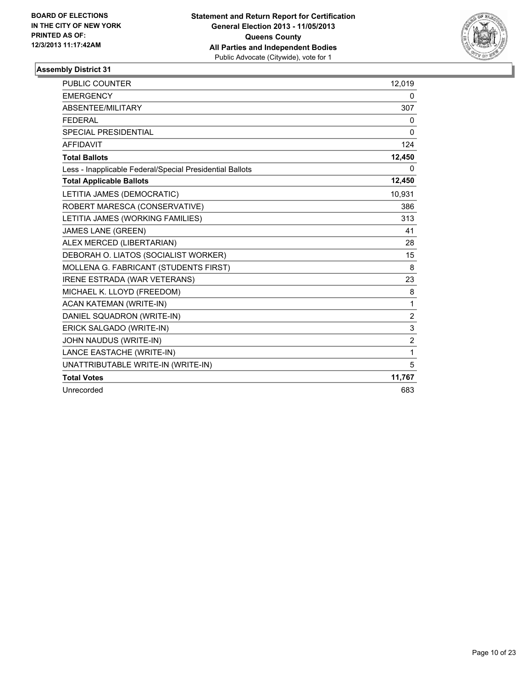

| PUBLIC COUNTER                                           | 12,019         |
|----------------------------------------------------------|----------------|
| <b>EMERGENCY</b>                                         | 0              |
| ABSENTEE/MILITARY                                        | 307            |
| <b>FEDERAL</b>                                           | 0              |
| <b>SPECIAL PRESIDENTIAL</b>                              | 0              |
| <b>AFFIDAVIT</b>                                         | 124            |
| <b>Total Ballots</b>                                     | 12,450         |
| Less - Inapplicable Federal/Special Presidential Ballots | 0              |
| <b>Total Applicable Ballots</b>                          | 12,450         |
| LETITIA JAMES (DEMOCRATIC)                               | 10,931         |
| ROBERT MARESCA (CONSERVATIVE)                            | 386            |
| LETITIA JAMES (WORKING FAMILIES)                         | 313            |
| <b>JAMES LANE (GREEN)</b>                                | 41             |
| ALEX MERCED (LIBERTARIAN)                                | 28             |
| DEBORAH O. LIATOS (SOCIALIST WORKER)                     | 15             |
| MOLLENA G. FABRICANT (STUDENTS FIRST)                    | 8              |
| <b>IRENE ESTRADA (WAR VETERANS)</b>                      | 23             |
| MICHAEL K. LLOYD (FREEDOM)                               | 8              |
| ACAN KATEMAN (WRITE-IN)                                  | 1              |
| DANIEL SQUADRON (WRITE-IN)                               | $\overline{2}$ |
| ERICK SALGADO (WRITE-IN)                                 | 3              |
| JOHN NAUDUS (WRITE-IN)                                   | $\overline{2}$ |
| LANCE EASTACHE (WRITE-IN)                                | $\mathbf{1}$   |
| UNATTRIBUTABLE WRITE-IN (WRITE-IN)                       | 5              |
| <b>Total Votes</b>                                       | 11,767         |
| Unrecorded                                               | 683            |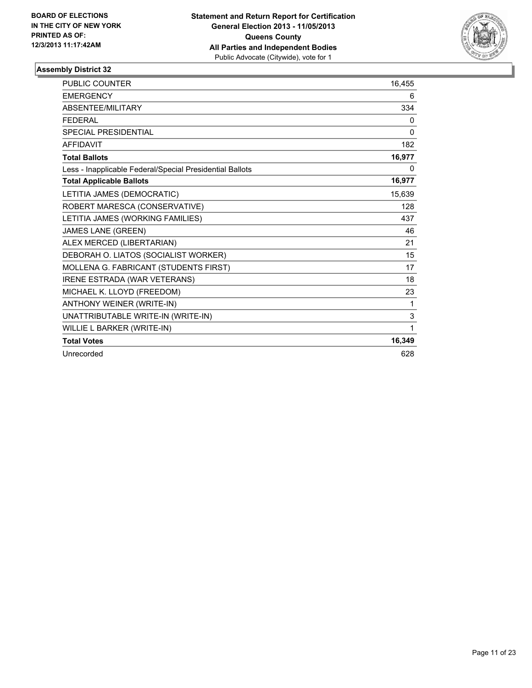

| <b>PUBLIC COUNTER</b>                                    | 16,455 |
|----------------------------------------------------------|--------|
| <b>EMERGENCY</b>                                         | 6      |
| ABSENTEE/MILITARY                                        | 334    |
| <b>FEDERAL</b>                                           | 0      |
| <b>SPECIAL PRESIDENTIAL</b>                              | 0      |
| <b>AFFIDAVIT</b>                                         | 182    |
| <b>Total Ballots</b>                                     | 16,977 |
| Less - Inapplicable Federal/Special Presidential Ballots | 0      |
| <b>Total Applicable Ballots</b>                          | 16,977 |
| LETITIA JAMES (DEMOCRATIC)                               | 15,639 |
| ROBERT MARESCA (CONSERVATIVE)                            | 128    |
| LETITIA JAMES (WORKING FAMILIES)                         | 437    |
| JAMES LANE (GREEN)                                       | 46     |
| ALEX MERCED (LIBERTARIAN)                                | 21     |
| DEBORAH O. LIATOS (SOCIALIST WORKER)                     | 15     |
| MOLLENA G. FABRICANT (STUDENTS FIRST)                    | 17     |
| IRENE ESTRADA (WAR VETERANS)                             | 18     |
| MICHAEL K. LLOYD (FREEDOM)                               | 23     |
| ANTHONY WEINER (WRITE-IN)                                | 1      |
| UNATTRIBUTABLE WRITE-IN (WRITE-IN)                       | 3      |
| WILLIE L BARKER (WRITE-IN)                               | 1      |
| <b>Total Votes</b>                                       | 16,349 |
| Unrecorded                                               | 628    |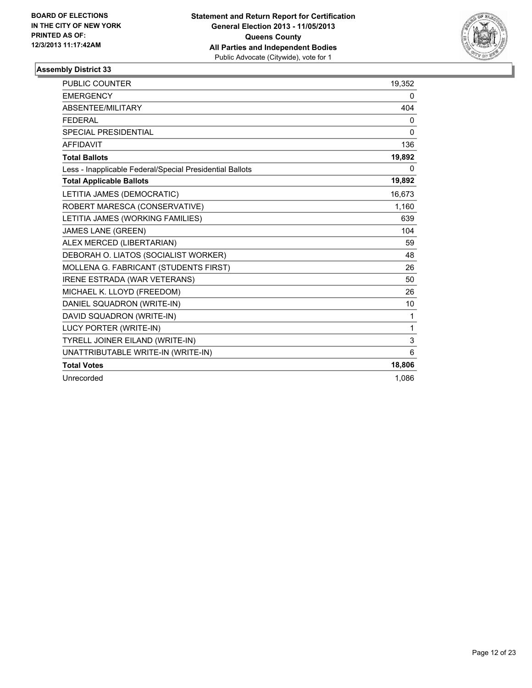

| <b>PUBLIC COUNTER</b>                                    | 19,352       |
|----------------------------------------------------------|--------------|
| <b>EMERGENCY</b>                                         | 0            |
| <b>ABSENTEE/MILITARY</b>                                 | 404          |
| <b>FFDFRAL</b>                                           | 0            |
| <b>SPECIAL PRESIDENTIAL</b>                              | $\mathbf{0}$ |
| <b>AFFIDAVIT</b>                                         | 136          |
| <b>Total Ballots</b>                                     | 19,892       |
| Less - Inapplicable Federal/Special Presidential Ballots | 0            |
| <b>Total Applicable Ballots</b>                          | 19,892       |
| LETITIA JAMES (DEMOCRATIC)                               | 16,673       |
| ROBERT MARESCA (CONSERVATIVE)                            | 1,160        |
| LETITIA JAMES (WORKING FAMILIES)                         | 639          |
| <b>JAMES LANE (GREEN)</b>                                | 104          |
| ALEX MERCED (LIBERTARIAN)                                | 59           |
| DEBORAH O. LIATOS (SOCIALIST WORKER)                     | 48           |
| MOLLENA G. FABRICANT (STUDENTS FIRST)                    | 26           |
| <b>IRENE ESTRADA (WAR VETERANS)</b>                      | 50           |
| MICHAEL K. LLOYD (FREEDOM)                               | 26           |
| DANIEL SQUADRON (WRITE-IN)                               | 10           |
| DAVID SQUADRON (WRITE-IN)                                | 1            |
| LUCY PORTER (WRITE-IN)                                   | $\mathbf{1}$ |
| TYRELL JOINER EILAND (WRITE-IN)                          | 3            |
| UNATTRIBUTABLE WRITE-IN (WRITE-IN)                       | 6            |
| <b>Total Votes</b>                                       | 18,806       |
| Unrecorded                                               | 1.086        |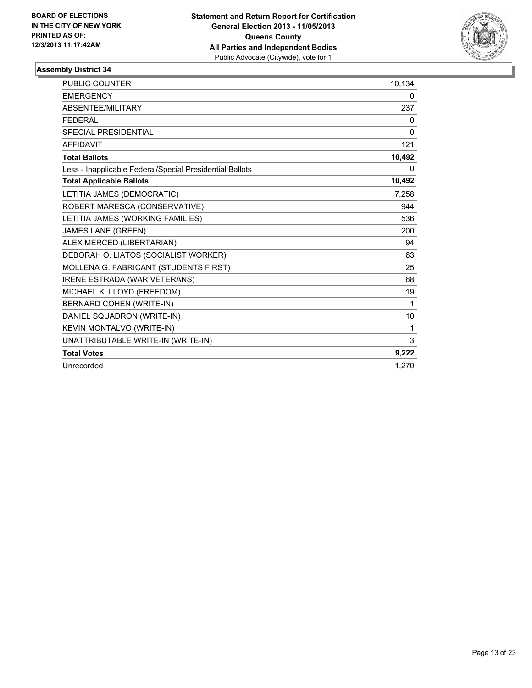

| <b>PUBLIC COUNTER</b>                                    | 10,134   |
|----------------------------------------------------------|----------|
| <b>EMERGENCY</b>                                         | 0        |
| <b>ABSENTEE/MILITARY</b>                                 | 237      |
| <b>FEDERAL</b>                                           | 0        |
| <b>SPECIAL PRESIDENTIAL</b>                              | $\Omega$ |
| <b>AFFIDAVIT</b>                                         | 121      |
| <b>Total Ballots</b>                                     | 10,492   |
| Less - Inapplicable Federal/Special Presidential Ballots | 0        |
| <b>Total Applicable Ballots</b>                          | 10,492   |
| LETITIA JAMES (DEMOCRATIC)                               | 7.258    |
| ROBERT MARESCA (CONSERVATIVE)                            | 944      |
| LETITIA JAMES (WORKING FAMILIES)                         | 536      |
| <b>JAMES LANE (GREEN)</b>                                | 200      |
| ALEX MERCED (LIBERTARIAN)                                | 94       |
| DEBORAH O. LIATOS (SOCIALIST WORKER)                     | 63       |
| MOLLENA G. FABRICANT (STUDENTS FIRST)                    | 25       |
| <b>IRENE ESTRADA (WAR VETERANS)</b>                      | 68       |
| MICHAEL K. LLOYD (FREEDOM)                               | 19       |
| BERNARD COHEN (WRITE-IN)                                 | 1        |
| DANIEL SQUADRON (WRITE-IN)                               | 10       |
| KEVIN MONTALVO (WRITE-IN)                                | 1        |
| UNATTRIBUTABLE WRITE-IN (WRITE-IN)                       | 3        |
| <b>Total Votes</b>                                       | 9,222    |
| Unrecorded                                               | 1.270    |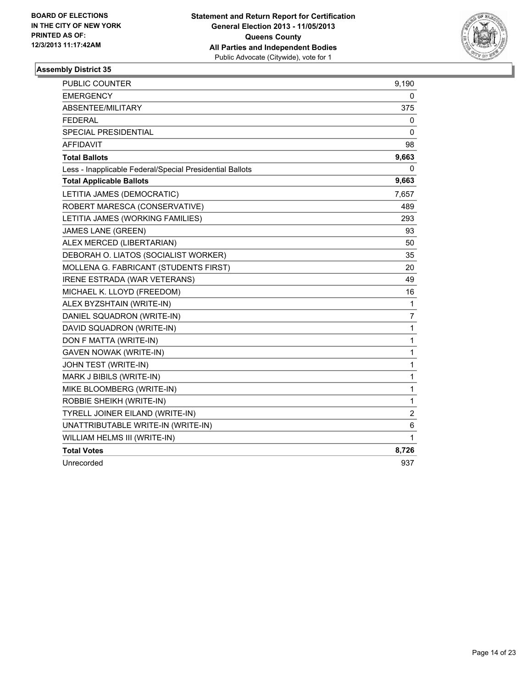

| <b>PUBLIC COUNTER</b>                                    | 9,190          |
|----------------------------------------------------------|----------------|
| <b>EMERGENCY</b>                                         | 0              |
| ABSENTEE/MILITARY                                        | 375            |
| <b>FEDERAL</b>                                           | 0              |
| <b>SPECIAL PRESIDENTIAL</b>                              | $\mathbf{0}$   |
| <b>AFFIDAVIT</b>                                         | 98             |
| <b>Total Ballots</b>                                     | 9,663          |
| Less - Inapplicable Federal/Special Presidential Ballots | 0              |
| <b>Total Applicable Ballots</b>                          | 9,663          |
| LETITIA JAMES (DEMOCRATIC)                               | 7,657          |
| ROBERT MARESCA (CONSERVATIVE)                            | 489            |
| LETITIA JAMES (WORKING FAMILIES)                         | 293            |
| JAMES LANE (GREEN)                                       | 93             |
| ALEX MERCED (LIBERTARIAN)                                | 50             |
| DEBORAH O. LIATOS (SOCIALIST WORKER)                     | 35             |
| MOLLENA G. FABRICANT (STUDENTS FIRST)                    | 20             |
| IRENE ESTRADA (WAR VETERANS)                             | 49             |
| MICHAEL K. LLOYD (FREEDOM)                               | 16             |
| ALEX BYZSHTAIN (WRITE-IN)                                | $\mathbf{1}$   |
| DANIEL SQUADRON (WRITE-IN)                               | 7              |
| DAVID SQUADRON (WRITE-IN)                                | 1              |
| DON F MATTA (WRITE-IN)                                   | 1              |
| <b>GAVEN NOWAK (WRITE-IN)</b>                            | 1              |
| JOHN TEST (WRITE-IN)                                     | 1              |
| MARK J BIBILS (WRITE-IN)                                 | 1              |
| MIKE BLOOMBERG (WRITE-IN)                                | 1              |
| ROBBIE SHEIKH (WRITE-IN)                                 | 1              |
| TYRELL JOINER EILAND (WRITE-IN)                          | $\overline{c}$ |
| UNATTRIBUTABLE WRITE-IN (WRITE-IN)                       | 6              |
| WILLIAM HELMS III (WRITE-IN)                             | 1              |
| <b>Total Votes</b>                                       | 8,726          |
| Unrecorded                                               | 937            |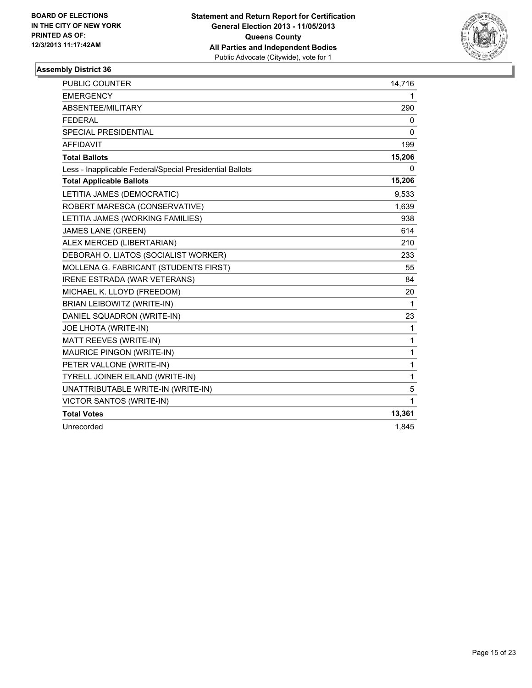

| <b>PUBLIC COUNTER</b>                                    | 14,716       |
|----------------------------------------------------------|--------------|
| <b>EMERGENCY</b>                                         | 1            |
| ABSENTEE/MILITARY                                        | 290          |
| <b>FEDERAL</b>                                           | 0            |
| <b>SPECIAL PRESIDENTIAL</b>                              | 0            |
| <b>AFFIDAVIT</b>                                         | 199          |
| <b>Total Ballots</b>                                     | 15,206       |
| Less - Inapplicable Federal/Special Presidential Ballots | 0            |
| <b>Total Applicable Ballots</b>                          | 15,206       |
| LETITIA JAMES (DEMOCRATIC)                               | 9,533        |
| ROBERT MARESCA (CONSERVATIVE)                            | 1,639        |
| LETITIA JAMES (WORKING FAMILIES)                         | 938          |
| <b>JAMES LANE (GREEN)</b>                                | 614          |
| ALEX MERCED (LIBERTARIAN)                                | 210          |
| DEBORAH O. LIATOS (SOCIALIST WORKER)                     | 233          |
| MOLLENA G. FABRICANT (STUDENTS FIRST)                    | 55           |
| IRENE ESTRADA (WAR VETERANS)                             | 84           |
| MICHAEL K. LLOYD (FREEDOM)                               | 20           |
| BRIAN LEIBOWITZ (WRITE-IN)                               | $\mathbf 1$  |
| DANIEL SQUADRON (WRITE-IN)                               | 23           |
| JOE LHOTA (WRITE-IN)                                     | $\mathbf{1}$ |
| MATT REEVES (WRITE-IN)                                   | $\mathbf{1}$ |
| MAURICE PINGON (WRITE-IN)                                | 1            |
| PETER VALLONE (WRITE-IN)                                 | $\mathbf{1}$ |
| TYRELL JOINER EILAND (WRITE-IN)                          | 1            |
| UNATTRIBUTABLE WRITE-IN (WRITE-IN)                       | 5            |
| VICTOR SANTOS (WRITE-IN)                                 | 1            |
| <b>Total Votes</b>                                       | 13,361       |
| Unrecorded                                               | 1,845        |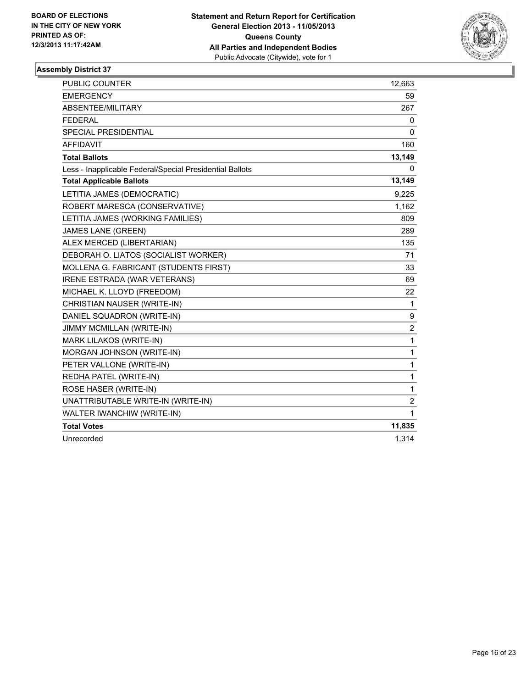

| <b>PUBLIC COUNTER</b>                                    | 12,663         |
|----------------------------------------------------------|----------------|
| <b>EMERGENCY</b>                                         | 59             |
| ABSENTEE/MILITARY                                        | 267            |
| <b>FEDERAL</b>                                           | 0              |
| <b>SPECIAL PRESIDENTIAL</b>                              | 0              |
| <b>AFFIDAVIT</b>                                         | 160            |
| <b>Total Ballots</b>                                     | 13,149         |
| Less - Inapplicable Federal/Special Presidential Ballots | 0              |
| <b>Total Applicable Ballots</b>                          | 13,149         |
| LETITIA JAMES (DEMOCRATIC)                               | 9,225          |
| ROBERT MARESCA (CONSERVATIVE)                            | 1,162          |
| LETITIA JAMES (WORKING FAMILIES)                         | 809            |
| <b>JAMES LANE (GREEN)</b>                                | 289            |
| ALEX MERCED (LIBERTARIAN)                                | 135            |
| DEBORAH O. LIATOS (SOCIALIST WORKER)                     | 71             |
| MOLLENA G. FABRICANT (STUDENTS FIRST)                    | 33             |
| IRENE ESTRADA (WAR VETERANS)                             | 69             |
| MICHAEL K. LLOYD (FREEDOM)                               | 22             |
| CHRISTIAN NAUSER (WRITE-IN)                              | $\mathbf{1}$   |
| DANIEL SQUADRON (WRITE-IN)                               | 9              |
| <b>JIMMY MCMILLAN (WRITE-IN)</b>                         | $\overline{2}$ |
| MARK LILAKOS (WRITE-IN)                                  | $\mathbf{1}$   |
| MORGAN JOHNSON (WRITE-IN)                                | $\mathbf{1}$   |
| PETER VALLONE (WRITE-IN)                                 | 1              |
| REDHA PATEL (WRITE-IN)                                   | 1              |
| ROSE HASER (WRITE-IN)                                    | 1              |
| UNATTRIBUTABLE WRITE-IN (WRITE-IN)                       | $\overline{2}$ |
| WALTER IWANCHIW (WRITE-IN)                               | 1              |
| <b>Total Votes</b>                                       | 11,835         |
| Unrecorded                                               | 1,314          |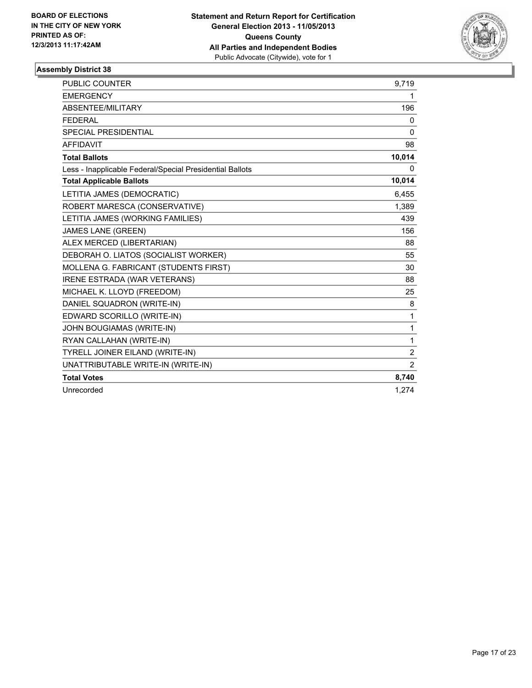

| <b>PUBLIC COUNTER</b>                                    | 9,719          |
|----------------------------------------------------------|----------------|
| <b>EMERGENCY</b>                                         | 1              |
| ABSENTEE/MILITARY                                        | 196            |
| <b>FEDERAL</b>                                           | 0              |
| <b>SPECIAL PRESIDENTIAL</b>                              | 0              |
| <b>AFFIDAVIT</b>                                         | 98             |
| <b>Total Ballots</b>                                     | 10,014         |
| Less - Inapplicable Federal/Special Presidential Ballots | 0              |
| <b>Total Applicable Ballots</b>                          | 10,014         |
| LETITIA JAMES (DEMOCRATIC)                               | 6,455          |
| ROBERT MARESCA (CONSERVATIVE)                            | 1,389          |
| LETITIA JAMES (WORKING FAMILIES)                         | 439            |
| <b>JAMES LANE (GREEN)</b>                                | 156            |
| ALEX MERCED (LIBERTARIAN)                                | 88             |
| DEBORAH O. LIATOS (SOCIALIST WORKER)                     | 55             |
| MOLLENA G. FABRICANT (STUDENTS FIRST)                    | 30             |
| <b>IRENE ESTRADA (WAR VETERANS)</b>                      | 88             |
| MICHAEL K. LLOYD (FREEDOM)                               | 25             |
| DANIEL SQUADRON (WRITE-IN)                               | 8              |
| EDWARD SCORILLO (WRITE-IN)                               | $\mathbf 1$    |
| JOHN BOUGIAMAS (WRITE-IN)                                | 1              |
| RYAN CALLAHAN (WRITE-IN)                                 | $\mathbf{1}$   |
| TYRELL JOINER EILAND (WRITE-IN)                          | $\overline{2}$ |
| UNATTRIBUTABLE WRITE-IN (WRITE-IN)                       | 2              |
| <b>Total Votes</b>                                       | 8,740          |
| Unrecorded                                               | 1,274          |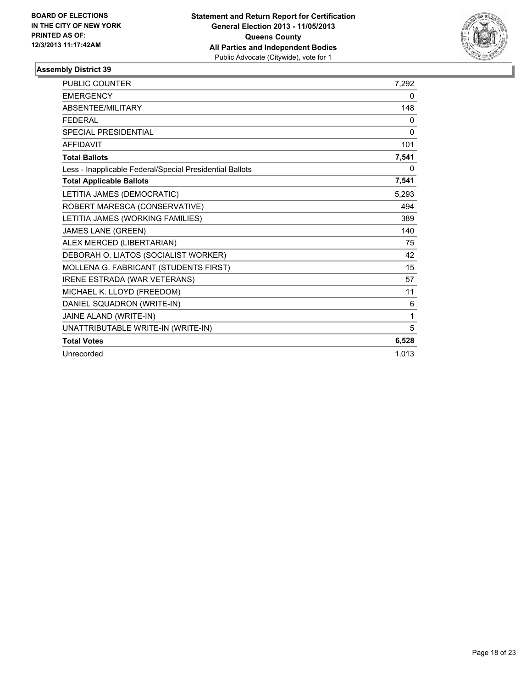

| <b>PUBLIC COUNTER</b>                                    | 7,292    |
|----------------------------------------------------------|----------|
| <b>EMERGENCY</b>                                         | 0        |
| ABSENTEE/MILITARY                                        | 148      |
| <b>FEDERAL</b>                                           | 0        |
| SPECIAL PRESIDENTIAL                                     | $\Omega$ |
| <b>AFFIDAVIT</b>                                         | 101      |
| <b>Total Ballots</b>                                     | 7,541    |
| Less - Inapplicable Federal/Special Presidential Ballots | 0        |
| <b>Total Applicable Ballots</b>                          | 7,541    |
| LETITIA JAMES (DEMOCRATIC)                               | 5,293    |
| ROBERT MARESCA (CONSERVATIVE)                            | 494      |
| LETITIA JAMES (WORKING FAMILIES)                         | 389      |
| <b>JAMES LANE (GREEN)</b>                                | 140      |
| ALEX MERCED (LIBERTARIAN)                                | 75       |
| DEBORAH O. LIATOS (SOCIALIST WORKER)                     | 42       |
| MOLLENA G. FABRICANT (STUDENTS FIRST)                    | 15       |
| <b>IRENE ESTRADA (WAR VETERANS)</b>                      | 57       |
| MICHAEL K. LLOYD (FREEDOM)                               | 11       |
| DANIEL SQUADRON (WRITE-IN)                               | 6        |
| JAINE ALAND (WRITE-IN)                                   | 1        |
| UNATTRIBUTABLE WRITE-IN (WRITE-IN)                       | 5        |
| <b>Total Votes</b>                                       | 6,528    |
| Unrecorded                                               | 1,013    |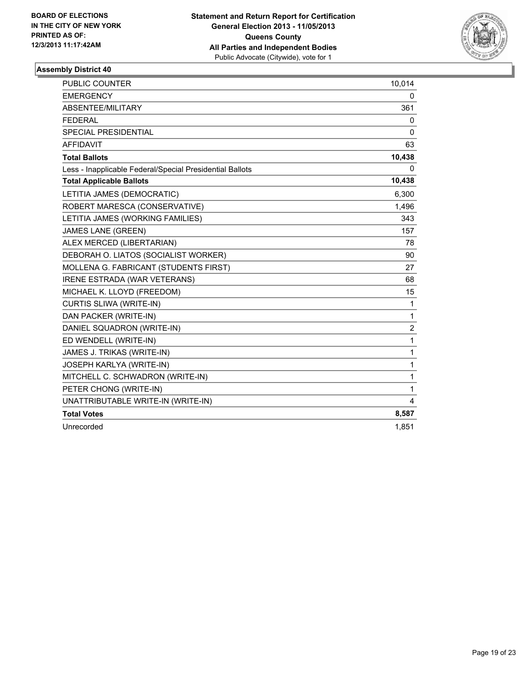

| <b>PUBLIC COUNTER</b>                                    | 10,014                  |
|----------------------------------------------------------|-------------------------|
| <b>EMERGENCY</b>                                         | 0                       |
| ABSENTEE/MILITARY                                        | 361                     |
| <b>FEDERAL</b>                                           | 0                       |
| <b>SPECIAL PRESIDENTIAL</b>                              | $\mathbf{0}$            |
| <b>AFFIDAVIT</b>                                         | 63                      |
| <b>Total Ballots</b>                                     | 10,438                  |
| Less - Inapplicable Federal/Special Presidential Ballots | 0                       |
| <b>Total Applicable Ballots</b>                          | 10,438                  |
| LETITIA JAMES (DEMOCRATIC)                               | 6,300                   |
| ROBERT MARESCA (CONSERVATIVE)                            | 1,496                   |
| LETITIA JAMES (WORKING FAMILIES)                         | 343                     |
| <b>JAMES LANE (GREEN)</b>                                | 157                     |
| ALEX MERCED (LIBERTARIAN)                                | 78                      |
| DEBORAH O. LIATOS (SOCIALIST WORKER)                     | 90                      |
| MOLLENA G. FABRICANT (STUDENTS FIRST)                    | 27                      |
| IRENE ESTRADA (WAR VETERANS)                             | 68                      |
| MICHAEL K. LLOYD (FREEDOM)                               | 15                      |
| <b>CURTIS SLIWA (WRITE-IN)</b>                           | 1                       |
| DAN PACKER (WRITE-IN)                                    | 1                       |
| DANIEL SQUADRON (WRITE-IN)                               | $\overline{\mathbf{c}}$ |
| ED WENDELL (WRITE-IN)                                    | 1                       |
| JAMES J. TRIKAS (WRITE-IN)                               | 1                       |
| JOSEPH KARLYA (WRITE-IN)                                 | $\mathbf{1}$            |
| MITCHELL C. SCHWADRON (WRITE-IN)                         | 1                       |
| PETER CHONG (WRITE-IN)                                   | $\mathbf{1}$            |
| UNATTRIBUTABLE WRITE-IN (WRITE-IN)                       | 4                       |
| <b>Total Votes</b>                                       | 8,587                   |
| Unrecorded                                               | 1,851                   |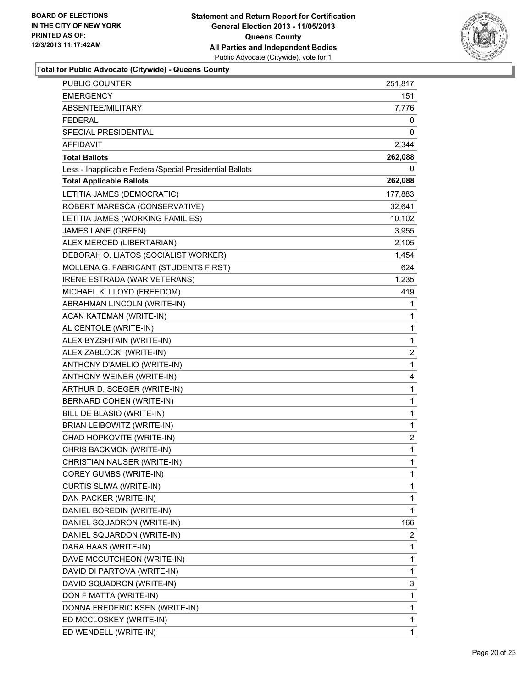

| <b>PUBLIC COUNTER</b>                                    | 251,817     |
|----------------------------------------------------------|-------------|
| EMERGENCY                                                | 151         |
| ABSENTEE/MILITARY                                        | 7,776       |
| FEDERAL                                                  | 0           |
| SPECIAL PRESIDENTIAL                                     | 0           |
| <b>AFFIDAVIT</b>                                         | 2,344       |
| <b>Total Ballots</b>                                     | 262,088     |
| Less - Inapplicable Federal/Special Presidential Ballots | 0           |
| <b>Total Applicable Ballots</b>                          | 262,088     |
| LETITIA JAMES (DEMOCRATIC)                               | 177,883     |
| ROBERT MARESCA (CONSERVATIVE)                            | 32,641      |
| LETITIA JAMES (WORKING FAMILIES)                         | 10,102      |
| <b>JAMES LANE (GREEN)</b>                                | 3,955       |
| ALEX MERCED (LIBERTARIAN)                                | 2,105       |
| DEBORAH O. LIATOS (SOCIALIST WORKER)                     | 1,454       |
| MOLLENA G. FABRICANT (STUDENTS FIRST)                    | 624         |
| IRENE ESTRADA (WAR VETERANS)                             | 1,235       |
| MICHAEL K. LLOYD (FREEDOM)                               | 419         |
| ABRAHMAN LINCOLN (WRITE-IN)                              | 1           |
| <b>ACAN KATEMAN (WRITE-IN)</b>                           | 1           |
| AL CENTOLE (WRITE-IN)                                    | 1           |
| ALEX BYZSHTAIN (WRITE-IN)                                | 1           |
| ALEX ZABLOCKI (WRITE-IN)                                 | 2           |
| ANTHONY D'AMELIO (WRITE-IN)                              | 1           |
| ANTHONY WEINER (WRITE-IN)                                | 4           |
| ARTHUR D. SCEGER (WRITE-IN)                              | 1           |
| BERNARD COHEN (WRITE-IN)                                 | 1           |
| BILL DE BLASIO (WRITE-IN)                                | 1           |
| BRIAN LEIBOWITZ (WRITE-IN)                               | 1           |
| CHAD HOPKOVITE (WRITE-IN)                                | 2           |
| CHRIS BACKMON (WRITE-IN)                                 | 1           |
| CHRISTIAN NAUSER (WRITE-IN)                              | 1           |
| COREY GUMBS (WRITE-IN)                                   | 1           |
| <b>CURTIS SLIWA (WRITE-IN)</b>                           | 1           |
| DAN PACKER (WRITE-IN)                                    | 1           |
| DANIEL BOREDIN (WRITE-IN)                                | 1           |
| DANIEL SQUADRON (WRITE-IN)                               | 166         |
| DANIEL SQUARDON (WRITE-IN)                               | 2           |
| DARA HAAS (WRITE-IN)                                     | 1           |
| DAVE MCCUTCHEON (WRITE-IN)                               | 1           |
| DAVID DI PARTOVA (WRITE-IN)                              | 1           |
| DAVID SQUADRON (WRITE-IN)                                | 3           |
| DON F MATTA (WRITE-IN)                                   | $\mathbf 1$ |
| DONNA FREDERIC KSEN (WRITE-IN)                           | 1           |
| ED MCCLOSKEY (WRITE-IN)                                  | 1           |
| ED WENDELL (WRITE-IN)                                    | 1           |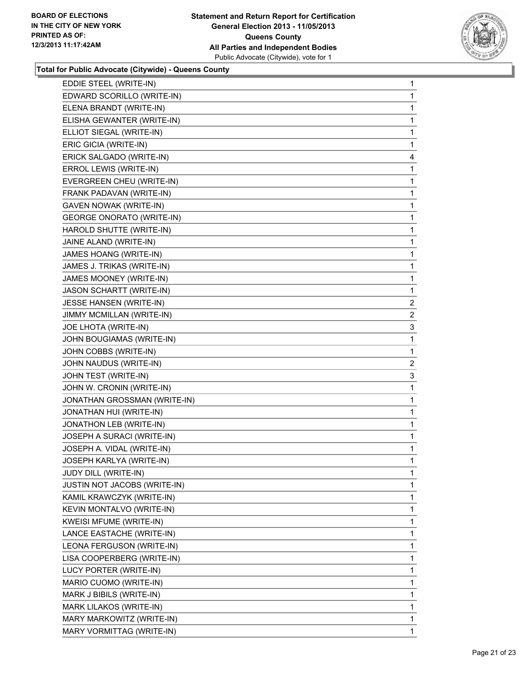

| EDDIE STEEL (WRITE-IN)              | 1              |
|-------------------------------------|----------------|
| EDWARD SCORILLO (WRITE-IN)          | 1              |
| ELENA BRANDT (WRITE-IN)             | 1              |
| ELISHA GEWANTER (WRITE-IN)          | 1              |
| ELLIOT SIEGAL (WRITE-IN)            | 1              |
| ERIC GICIA (WRITE-IN)               | 1              |
| ERICK SALGADO (WRITE-IN)            | 4              |
| ERROL LEWIS (WRITE-IN)              | 1              |
| EVERGREEN CHEU (WRITE-IN)           | 1              |
| FRANK PADAVAN (WRITE-IN)            | 1              |
| GAVEN NOWAK (WRITE-IN)              | 1              |
| <b>GEORGE ONORATO (WRITE-IN)</b>    | 1              |
| HAROLD SHUTTE (WRITE-IN)            | 1              |
| JAINE ALAND (WRITE-IN)              | 1              |
| JAMES HOANG (WRITE-IN)              | 1              |
| JAMES J. TRIKAS (WRITE-IN)          | 1              |
| JAMES MOONEY (WRITE-IN)             | 1              |
| JASON SCHARTT (WRITE-IN)            | 1              |
| JESSE HANSEN (WRITE-IN)             | 2              |
| JIMMY MCMILLAN (WRITE-IN)           | $\overline{2}$ |
| JOE LHOTA (WRITE-IN)                | 3              |
| JOHN BOUGIAMAS (WRITE-IN)           | 1              |
| JOHN COBBS (WRITE-IN)               | 1              |
| JOHN NAUDUS (WRITE-IN)              | $\overline{2}$ |
| JOHN TEST (WRITE-IN)                | 3              |
| JOHN W. CRONIN (WRITE-IN)           | 1              |
| JONATHAN GROSSMAN (WRITE-IN)        | 1              |
| JONATHAN HUI (WRITE-IN)             | 1              |
| JONATHON LEB (WRITE-IN)             | 1              |
| JOSEPH A SURACI (WRITE-IN)          | 1              |
| JOSEPH A. VIDAL (WRITE-IN)          | 1              |
| JOSEPH KARLYA (WRITE-IN)            | 1              |
| JUDY DILL (WRITE-IN)                | 1              |
| <b>JUSTIN NOT JACOBS (WRITE-IN)</b> | 1              |
| KAMIL KRAWCZYK (WRITE-IN)           | 1              |
| KEVIN MONTALVO (WRITE-IN)           | 1              |
| <b>KWEISI MFUME (WRITE-IN)</b>      | 1              |
| LANCE EASTACHE (WRITE-IN)           | 1              |
| LEONA FERGUSON (WRITE-IN)           | 1              |
| LISA COOPERBERG (WRITE-IN)          | 1              |
| LUCY PORTER (WRITE-IN)              | 1              |
| MARIO CUOMO (WRITE-IN)              | 1              |
| MARK J BIBILS (WRITE-IN)            | 1              |
| MARK LILAKOS (WRITE-IN)             | 1              |
| MARY MARKOWITZ (WRITE-IN)           | 1              |
| MARY VORMITTAG (WRITE-IN)           | 1              |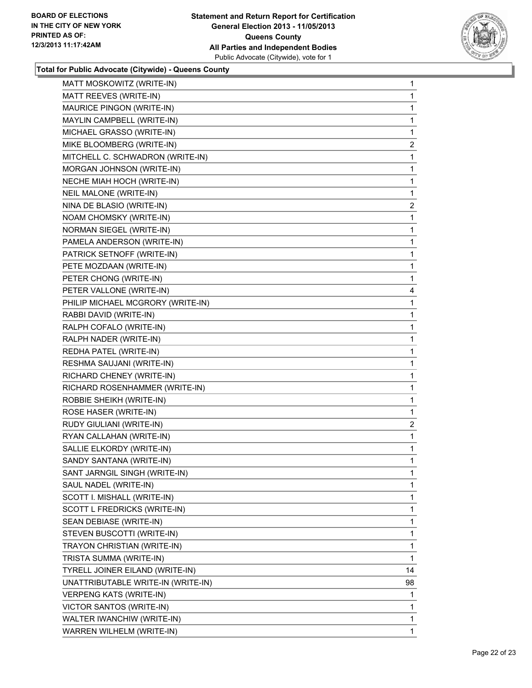

| MATT MOSKOWITZ (WRITE-IN)          | 1  |
|------------------------------------|----|
| MATT REEVES (WRITE-IN)             | 1  |
| MAURICE PINGON (WRITE-IN)          | 1  |
| MAYLIN CAMPBELL (WRITE-IN)         | 1  |
| MICHAEL GRASSO (WRITE-IN)          | 1  |
| MIKE BLOOMBERG (WRITE-IN)          | 2  |
| MITCHELL C. SCHWADRON (WRITE-IN)   | 1  |
| MORGAN JOHNSON (WRITE-IN)          | 1  |
| NECHE MIAH HOCH (WRITE-IN)         | 1  |
| <b>NEIL MALONE (WRITE-IN)</b>      | 1  |
| NINA DE BLASIO (WRITE-IN)          | 2  |
| NOAM CHOMSKY (WRITE-IN)            | 1  |
| NORMAN SIEGEL (WRITE-IN)           | 1  |
| PAMELA ANDERSON (WRITE-IN)         | 1  |
| PATRICK SETNOFF (WRITE-IN)         | 1  |
| PETE MOZDAAN (WRITE-IN)            | 1  |
| PETER CHONG (WRITE-IN)             | 1  |
| PETER VALLONE (WRITE-IN)           | 4  |
| PHILIP MICHAEL MCGRORY (WRITE-IN)  | 1  |
| RABBI DAVID (WRITE-IN)             | 1  |
| RALPH COFALO (WRITE-IN)            | 1  |
| RALPH NADER (WRITE-IN)             | 1  |
| REDHA PATEL (WRITE-IN)             | 1  |
| RESHMA SAUJANI (WRITE-IN)          | 1  |
| RICHARD CHENEY (WRITE-IN)          | 1  |
| RICHARD ROSENHAMMER (WRITE-IN)     | 1  |
| ROBBIE SHEIKH (WRITE-IN)           | 1  |
| ROSE HASER (WRITE-IN)              | 1  |
| RUDY GIULIANI (WRITE-IN)           | 2  |
| RYAN CALLAHAN (WRITE-IN)           | 1  |
| SALLIE ELKORDY (WRITE-IN)          | 1  |
| SANDY SANTANA (WRITE-IN)           | 1  |
| SANT JARNGIL SINGH (WRITE-IN)      | 1  |
| SAUL NADEL (WRITE-IN)              | 1  |
| SCOTT I. MISHALL (WRITE-IN)        | 1  |
| SCOTT L FREDRICKS (WRITE-IN)       | 1  |
| SEAN DEBIASE (WRITE-IN)            | 1  |
| STEVEN BUSCOTTI (WRITE-IN)         | 1  |
| TRAYON CHRISTIAN (WRITE-IN)        | 1  |
| TRISTA SUMMA (WRITE-IN)            | 1  |
| TYRELL JOINER EILAND (WRITE-IN)    | 14 |
| UNATTRIBUTABLE WRITE-IN (WRITE-IN) | 98 |
| VERPENG KATS (WRITE-IN)            | 1  |
| VICTOR SANTOS (WRITE-IN)           | 1  |
| WALTER IWANCHIW (WRITE-IN)         | 1  |
| WARREN WILHELM (WRITE-IN)          | 1  |